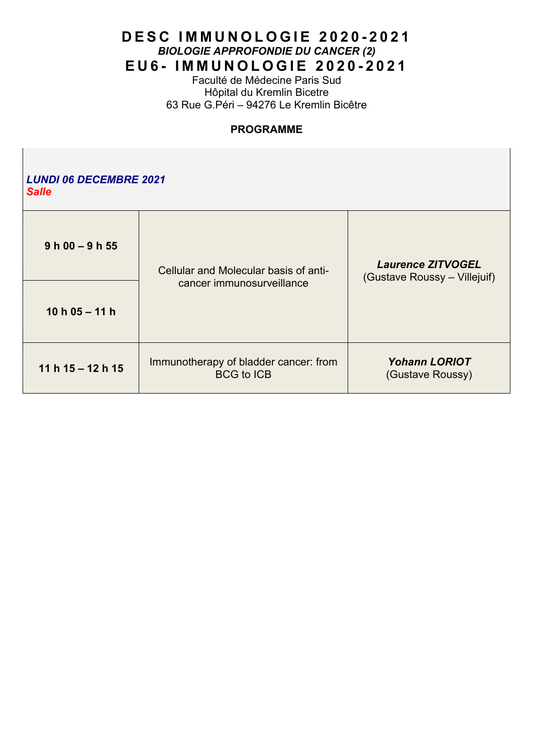Faculté de Médecine Paris Sud Hôpital du Kremlin Bicetre 63 Rue G.Péri – 94276 Le Kremlin Bicêtre

## **PROGRAMME**

| <b>LUNDI 06 DECEMBRE 2021</b><br><b>Salle</b> |                                                                    |                                                          |  |  |
|-----------------------------------------------|--------------------------------------------------------------------|----------------------------------------------------------|--|--|
| $9 h 00 - 9 h 55$                             | Cellular and Molecular basis of anti-<br>cancer immunosurveillance | <b>Laurence ZITVOGEL</b><br>(Gustave Roussy – Villejuif) |  |  |
| 10 h $05 - 11$ h                              |                                                                    |                                                          |  |  |
| 11 h $15 - 12$ h $15$                         | Immunotherapy of bladder cancer: from<br><b>BCG to ICB</b>         | <b>Yohann LORIOT</b><br>(Gustave Roussy)                 |  |  |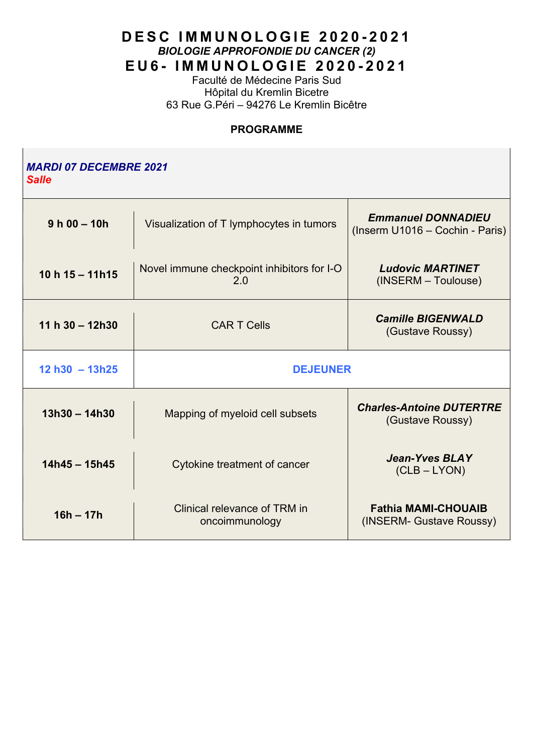Faculté de Médecine Paris Sud Hôpital du Kremlin Bicetre 63 Rue G.Péri – 94276 Le Kremlin Bicêtre

## **PROGRAMME**

| <i><b>MARDI 07 DECEMBRE 2021</b></i><br><b>Salle</b> |                                                   |                                                              |  |  |
|------------------------------------------------------|---------------------------------------------------|--------------------------------------------------------------|--|--|
| $9 h 00 - 10h$                                       | Visualization of T lymphocytes in tumors          | <b>Emmanuel DONNADIEU</b><br>(Inserm U1016 - Cochin - Paris) |  |  |
| 10 h $15 - 11h15$                                    | Novel immune checkpoint inhibitors for I-O<br>2.0 | <b>Ludovic MARTINET</b><br>(INSERM - Toulouse)               |  |  |
| 11 h $30 - 12h30$                                    | <b>CART</b> Cells                                 | <b>Camille BIGENWALD</b><br>(Gustave Roussy)                 |  |  |
| $12 h30 - 13h25$                                     | <b>DEJEUNER</b>                                   |                                                              |  |  |
| $13h30 - 14h30$                                      | Mapping of myeloid cell subsets                   | <b>Charles-Antoine DUTERTRE</b><br>(Gustave Roussy)          |  |  |
| $14h45 - 15h45$                                      | Cytokine treatment of cancer                      | <b>Jean-Yves BLAY</b><br>$(CLB - LYON)$                      |  |  |
| $16h - 17h$                                          | Clinical relevance of TRM in<br>oncoimmunology    | <b>Fathia MAMI-CHOUAIB</b><br>(INSERM- Gustave Roussy)       |  |  |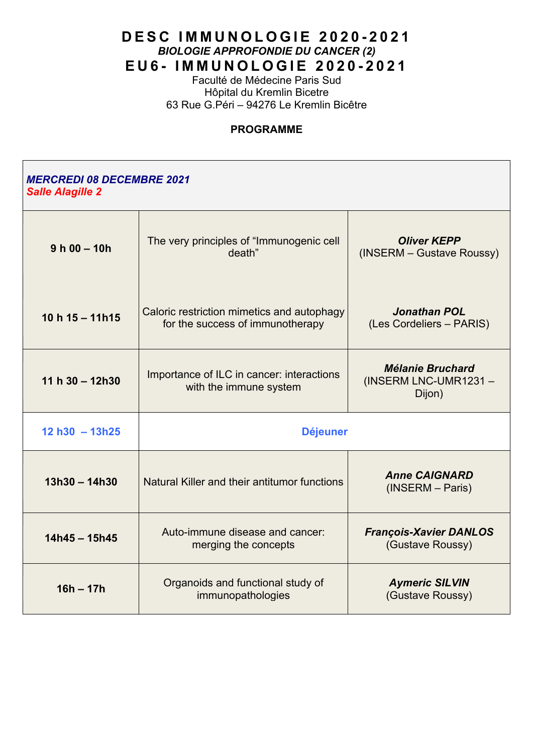Faculté de Médecine Paris Sud Hôpital du Kremlin Bicetre 63 Rue G.Péri – 94276 Le Kremlin Bicêtre

#### **PROGRAMME**

## *MERCREDI 08 DECEMBRE 2021 Salle Alagille 2*

| $9 h 00 - 10h$    | The very principles of "Immunogenic cell<br>death"                             | <b>Oliver KEPP</b><br>(INSERM - Gustave Roussy)           |
|-------------------|--------------------------------------------------------------------------------|-----------------------------------------------------------|
| 10 h $15 - 11h15$ | Caloric restriction mimetics and autophagy<br>for the success of immunotherapy | <b>Jonathan POL</b><br>(Les Cordeliers - PARIS)           |
| 11 h $30 - 12h30$ | Importance of ILC in cancer: interactions<br>with the immune system            | <b>Mélanie Bruchard</b><br>(INSERM LNC-UMR1231-<br>Dijon) |
|                   | <b>Déjeuner</b>                                                                |                                                           |
| $12 h30 - 13h25$  |                                                                                |                                                           |
| $13h30 - 14h30$   | Natural Killer and their antitumor functions                                   | <b>Anne CAIGNARD</b><br>(INSERM - Paris)                  |
| $14h45 - 15h45$   | Auto-immune disease and cancer:<br>merging the concepts                        | <b>François-Xavier DANLOS</b><br>(Gustave Roussy)         |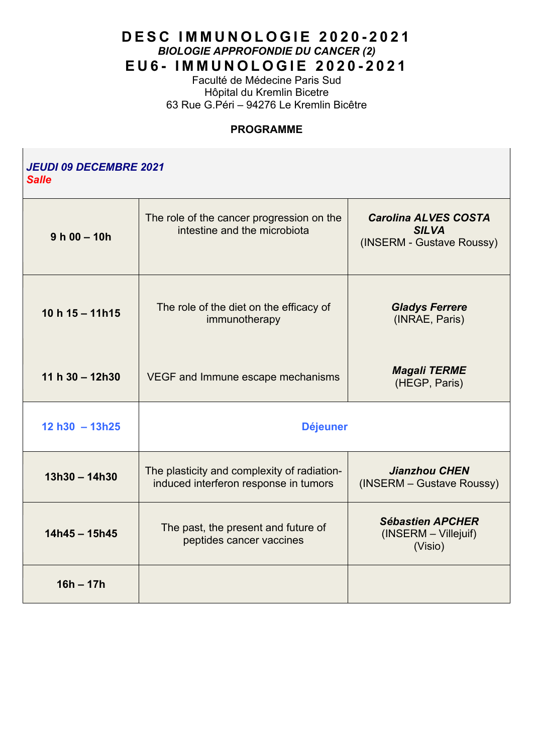Faculté de Médecine Paris Sud Hôpital du Kremlin Bicetre 63 Rue G.Péri – 94276 Le Kremlin Bicêtre

#### **PROGRAMME**

| <b>JEUDI 09 DECEMBRE 2021</b><br><b>Salle</b> |                                                                                      |                                                                          |  |  |
|-----------------------------------------------|--------------------------------------------------------------------------------------|--------------------------------------------------------------------------|--|--|
| $9 h 00 - 10h$                                | The role of the cancer progression on the<br>intestine and the microbiota            | <b>Carolina ALVES COSTA</b><br><b>SILVA</b><br>(INSERM - Gustave Roussy) |  |  |
| 10 h $15 - 11h15$                             | The role of the diet on the efficacy of<br>immunotherapy                             | <b>Gladys Ferrere</b><br>(INRAE, Paris)                                  |  |  |
| 11 h $30 - 12h30$                             | VEGF and Immune escape mechanisms                                                    | <b>Magali TERME</b><br>(HEGP, Paris)                                     |  |  |
| $12 h30 - 13h25$                              | <b>Déjeuner</b>                                                                      |                                                                          |  |  |
| $13h30 - 14h30$                               | The plasticity and complexity of radiation-<br>induced interferon response in tumors | <b>Jianzhou CHEN</b><br>(INSERM - Gustave Roussy)                        |  |  |
| $14h45 - 15h45$                               | The past, the present and future of<br>peptides cancer vaccines                      | <b>Sébastien APCHER</b><br>(INSERM - Villejuif)<br>(Visio)               |  |  |
| $16h - 17h$                                   |                                                                                      |                                                                          |  |  |